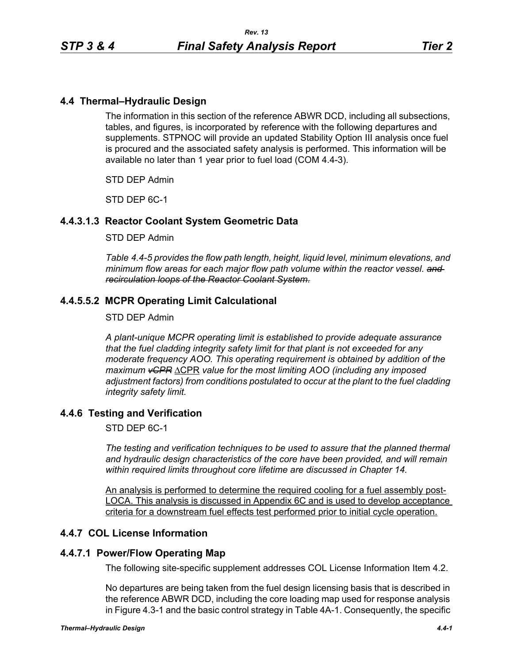## **4.4 Thermal–Hydraulic Design**

The information in this section of the reference ABWR DCD, including all subsections, tables, and figures, is incorporated by reference with the following departures and supplements. STPNOC will provide an updated Stability Option III analysis once fuel is procured and the associated safety analysis is performed. This information will be available no later than 1 year prior to fuel load (COM 4.4-3).

STD DEP Admin

STD DEP 6C-1

## **4.4.3.1.3 Reactor Coolant System Geometric Data**

#### STD DEP Admin

*Table 4.4-5 provides the flow path length, height, liquid level, minimum elevations, and minimum flow areas for each major flow path volume within the reactor vessel. and recirculation loops of the Reactor Coolant System.*

## **4.4.5.5.2 MCPR Operating Limit Calculational**

#### STD DEP Admin

*A plant-unique MCPR operating limit is established to provide adequate assurance that the fuel cladding integrity safety limit for that plant is not exceeded for any moderate frequency AOO. This operating requirement is obtained by addition of the maximum vCPR* ΔCPR *value for the most limiting AOO (including any imposed adjustment factors) from conditions postulated to occur at the plant to the fuel cladding integrity safety limit.*

## **4.4.6 Testing and Verification**

STD DEP 6C-1

*The testing and verification techniques to be used to assure that the planned thermal and hydraulic design characteristics of the core have been provided, and will remain within required limits throughout core lifetime are discussed in Chapter 14.*

An analysis is performed to determine the required cooling for a fuel assembly post-LOCA. This analysis is discussed in Appendix 6C and is used to develop acceptance criteria for a downstream fuel effects test performed prior to initial cycle operation.

## **4.4.7 COL License Information**

# **4.4.7.1 Power/Flow Operating Map**

The following site-specific supplement addresses COL License Information Item 4.2.

No departures are being taken from the fuel design licensing basis that is described in the reference ABWR DCD, including the core loading map used for response analysis in Figure 4.3-1 and the basic control strategy in Table 4A-1. Consequently, the specific